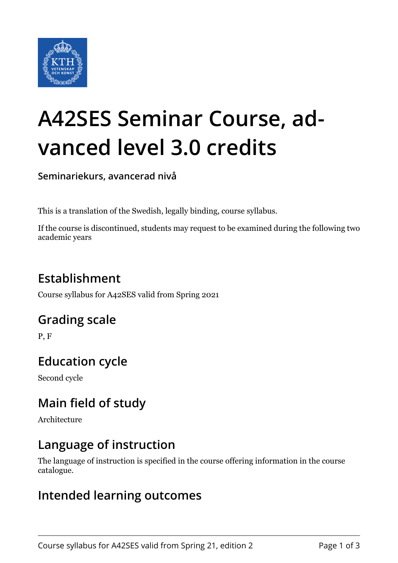

# **A42SES Seminar Course, advanced level 3.0 credits**

**Seminariekurs, avancerad nivå**

This is a translation of the Swedish, legally binding, course syllabus.

If the course is discontinued, students may request to be examined during the following two academic years

## **Establishment**

Course syllabus for A42SES valid from Spring 2021

#### **Grading scale**

P, F

# **Education cycle**

Second cycle

## **Main field of study**

Architecture

#### **Language of instruction**

The language of instruction is specified in the course offering information in the course catalogue.

#### **Intended learning outcomes**